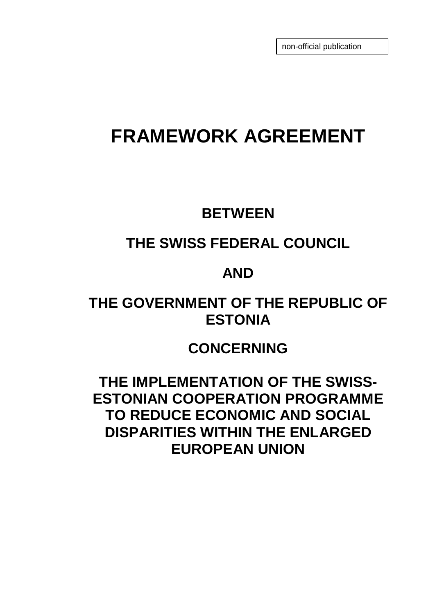non-official publication

# **FRAMEWORK AGREEMENT**

### **BETWEEN**

# **THE SWISS FEDERAL COUNCIL**

### **AND**

# **THE GOVERNMENT OF THE REPUBLIC OF ESTONIA**

### **CONCERNING**

**THE IMPLEMENTATION OF THE SWISS-ESTONIAN COOPERATION PROGRAMME TO REDUCE ECONOMIC AND SOCIAL DISPARITIES WITHIN THE ENLARGED EUROPEAN UNION**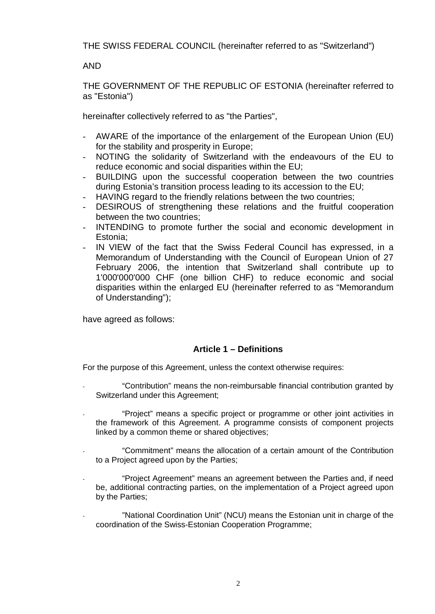THE SWISS FEDERAL COUNCIL (hereinafter referred to as "Switzerland")

#### AND

THE GOVERNMENT OF THE REPUBLIC OF ESTONIA (hereinafter referred to as "Estonia")

hereinafter collectively referred to as "the Parties",

- AWARE of the importance of the enlargement of the European Union (EU) for the stability and prosperity in Europe;
- NOTING the solidarity of Switzerland with the endeavours of the EU to reduce economic and social disparities within the EU;
- BUILDING upon the successful cooperation between the two countries during Estonia's transition process leading to its accession to the EU;
- HAVING regard to the friendly relations between the two countries;
- DESIROUS of strengthening these relations and the fruitful cooperation between the two countries;
- INTENDING to promote further the social and economic development in Estonia;
- IN VIEW of the fact that the Swiss Federal Council has expressed, in a Memorandum of Understanding with the Council of European Union of 27 February 2006, the intention that Switzerland shall contribute up to 1'000'000'000 CHF (one billion CHF) to reduce economic and social disparities within the enlarged EU (hereinafter referred to as "Memorandum of Understanding");

have agreed as follows:

#### **Article 1 – Definitions**

For the purpose of this Agreement, unless the context otherwise requires:

- "Contribution" means the non-reimbursable financial contribution granted by Switzerland under this Agreement;
- "Project" means a specific project or programme or other joint activities in the framework of this Agreement. A programme consists of component projects linked by a common theme or shared objectives;
- "Commitment" means the allocation of a certain amount of the Contribution to a Project agreed upon by the Parties;
- "Project Agreement" means an agreement between the Parties and, if need be, additional contracting parties, on the implementation of a Project agreed upon by the Parties;
- "National Coordination Unit" (NCU) means the Estonian unit in charge of the coordination of the Swiss-Estonian Cooperation Programme;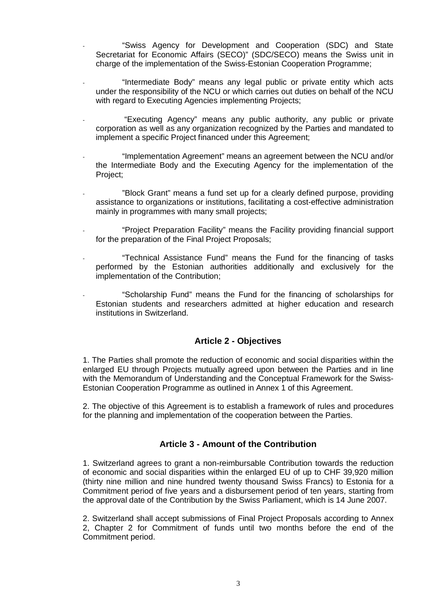- "Swiss Agency for Development and Cooperation (SDC) and State Secretariat for Economic Affairs (SECO)" (SDC/SECO) means the Swiss unit in charge of the implementation of the Swiss-Estonian Cooperation Programme;
- "Intermediate Body" means any legal public or private entity which acts under the responsibility of the NCU or which carries out duties on behalf of the NCU with regard to Executing Agencies implementing Projects;
- "Executing Agency" means any public authority, any public or private corporation as well as any organization recognized by the Parties and mandated to implement a specific Project financed under this Agreement;
- "Implementation Agreement" means an agreement between the NCU and/or the Intermediate Body and the Executing Agency for the implementation of the Project;
- "Block Grant" means a fund set up for a clearly defined purpose, providing assistance to organizations or institutions, facilitating a cost-effective administration mainly in programmes with many small projects;
- "Project Preparation Facility" means the Facility providing financial support for the preparation of the Final Project Proposals;
- "Technical Assistance Fund" means the Fund for the financing of tasks performed by the Estonian authorities additionally and exclusively for the implementation of the Contribution;
- "Scholarship Fund" means the Fund for the financing of scholarships for Estonian students and researchers admitted at higher education and research institutions in Switzerland.

#### **Article 2 - Objectives**

1. The Parties shall promote the reduction of economic and social disparities within the enlarged EU through Projects mutually agreed upon between the Parties and in line with the Memorandum of Understanding and the Conceptual Framework for the Swiss-Estonian Cooperation Programme as outlined in Annex 1 of this Agreement.

2. The objective of this Agreement is to establish a framework of rules and procedures for the planning and implementation of the cooperation between the Parties.

#### **Article 3 - Amount of the Contribution**

1. Switzerland agrees to grant a non-reimbursable Contribution towards the reduction of economic and social disparities within the enlarged EU of up to CHF 39,920 million (thirty nine million and nine hundred twenty thousand Swiss Francs) to Estonia for a Commitment period of five years and a disbursement period of ten years, starting from the approval date of the Contribution by the Swiss Parliament, which is 14 June 2007.

2. Switzerland shall accept submissions of Final Project Proposals according to Annex 2, Chapter 2 for Commitment of funds until two months before the end of the Commitment period.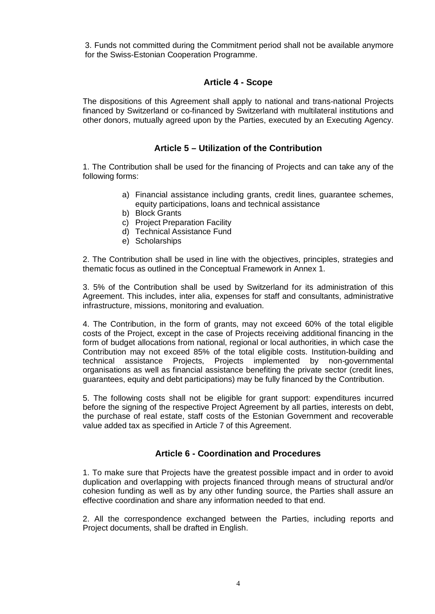3. Funds not committed during the Commitment period shall not be available anymore for the Swiss-Estonian Cooperation Programme.

#### **Article 4 - Scope**

The dispositions of this Agreement shall apply to national and trans-national Projects financed by Switzerland or co-financed by Switzerland with multilateral institutions and other donors, mutually agreed upon by the Parties, executed by an Executing Agency.

#### **Article 5 – Utilization of the Contribution**

1. The Contribution shall be used for the financing of Projects and can take any of the following forms:

- a) Financial assistance including grants, credit lines, guarantee schemes, equity participations, loans and technical assistance
- b) Block Grants
- c) Project Preparation Facility
- d) Technical Assistance Fund
- e) Scholarships

2. The Contribution shall be used in line with the objectives, principles, strategies and thematic focus as outlined in the Conceptual Framework in Annex 1.

3. 5% of the Contribution shall be used by Switzerland for its administration of this Agreement. This includes, inter alia, expenses for staff and consultants, administrative infrastructure, missions, monitoring and evaluation.

4. The Contribution, in the form of grants, may not exceed 60% of the total eligible costs of the Project, except in the case of Projects receiving additional financing in the form of budget allocations from national, regional or local authorities, in which case the Contribution may not exceed 85% of the total eligible costs. Institution-building and technical assistance Projects, Projects implemented by non-governmental organisations as well as financial assistance benefiting the private sector (credit lines, guarantees, equity and debt participations) may be fully financed by the Contribution.

5. The following costs shall not be eligible for grant support: expenditures incurred before the signing of the respective Project Agreement by all parties, interests on debt, the purchase of real estate, staff costs of the Estonian Government and recoverable value added tax as specified in Article 7 of this Agreement.

#### **Article 6 - Coordination and Procedures**

1. To make sure that Projects have the greatest possible impact and in order to avoid duplication and overlapping with projects financed through means of structural and/or cohesion funding as well as by any other funding source, the Parties shall assure an effective coordination and share any information needed to that end.

2. All the correspondence exchanged between the Parties, including reports and Project documents, shall be drafted in English.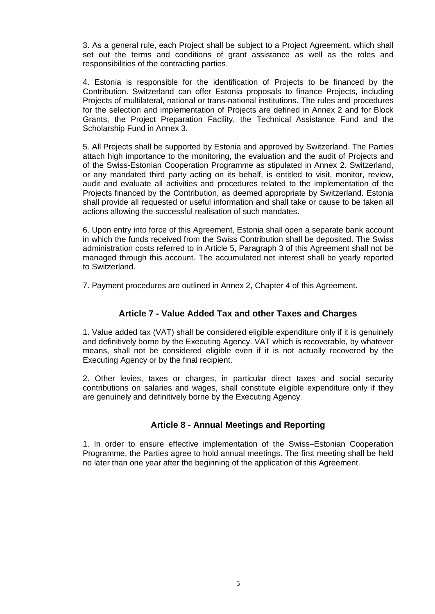3. As a general rule, each Project shall be subject to a Project Agreement, which shall set out the terms and conditions of grant assistance as well as the roles and responsibilities of the contracting parties.

4. Estonia is responsible for the identification of Projects to be financed by the Contribution. Switzerland can offer Estonia proposals to finance Projects, including Projects of multilateral, national or trans-national institutions. The rules and procedures for the selection and implementation of Projects are defined in Annex 2 and for Block Grants, the Project Preparation Facility, the Technical Assistance Fund and the Scholarship Fund in Annex 3.

5. All Projects shall be supported by Estonia and approved by Switzerland. The Parties attach high importance to the monitoring, the evaluation and the audit of Projects and of the Swiss-Estonian Cooperation Programme as stipulated in Annex 2. Switzerland, or any mandated third party acting on its behalf, is entitled to visit, monitor, review, audit and evaluate all activities and procedures related to the implementation of the Projects financed by the Contribution, as deemed appropriate by Switzerland. Estonia shall provide all requested or useful information and shall take or cause to be taken all actions allowing the successful realisation of such mandates.

6. Upon entry into force of this Agreement, Estonia shall open a separate bank account in which the funds received from the Swiss Contribution shall be deposited. The Swiss administration costs referred to in Article 5, Paragraph 3 of this Agreement shall not be managed through this account. The accumulated net interest shall be yearly reported to Switzerland.

7. Payment procedures are outlined in Annex 2, Chapter 4 of this Agreement.

#### **Article 7 - Value Added Tax and other Taxes and Charges**

1. Value added tax (VAT) shall be considered eligible expenditure only if it is genuinely and definitively borne by the Executing Agency. VAT which is recoverable, by whatever means, shall not be considered eligible even if it is not actually recovered by the Executing Agency or by the final recipient.

2. Other levies, taxes or charges, in particular direct taxes and social security contributions on salaries and wages, shall constitute eligible expenditure only if they are genuinely and definitively borne by the Executing Agency.

#### **Article 8 - Annual Meetings and Reporting**

1. In order to ensure effective implementation of the Swiss–Estonian Cooperation Programme, the Parties agree to hold annual meetings. The first meeting shall be held no later than one year after the beginning of the application of this Agreement.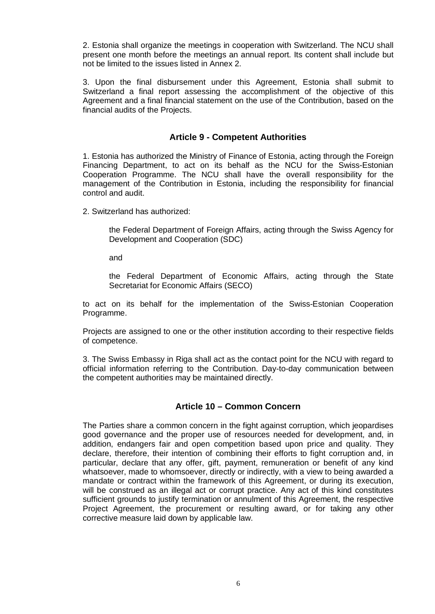2. Estonia shall organize the meetings in cooperation with Switzerland. The NCU shall present one month before the meetings an annual report. Its content shall include but not be limited to the issues listed in Annex 2.

3. Upon the final disbursement under this Agreement, Estonia shall submit to Switzerland a final report assessing the accomplishment of the objective of this Agreement and a final financial statement on the use of the Contribution, based on the financial audits of the Projects.

#### **Article 9 - Competent Authorities**

1. Estonia has authorized the Ministry of Finance of Estonia, acting through the Foreign Financing Department, to act on its behalf as the NCU for the Swiss-Estonian Cooperation Programme. The NCU shall have the overall responsibility for the management of the Contribution in Estonia, including the responsibility for financial control and audit.

2. Switzerland has authorized:

the Federal Department of Foreign Affairs, acting through the Swiss Agency for Development and Cooperation (SDC)

and

the Federal Department of Economic Affairs, acting through the State Secretariat for Economic Affairs (SECO)

to act on its behalf for the implementation of the Swiss-Estonian Cooperation Programme.

Projects are assigned to one or the other institution according to their respective fields of competence.

3. The Swiss Embassy in Riga shall act as the contact point for the NCU with regard to official information referring to the Contribution. Day-to-day communication between the competent authorities may be maintained directly.

#### **Article 10 – Common Concern**

The Parties share a common concern in the fight against corruption, which jeopardises good governance and the proper use of resources needed for development, and, in addition, endangers fair and open competition based upon price and quality. They declare, therefore, their intention of combining their efforts to fight corruption and, in particular, declare that any offer, gift, payment, remuneration or benefit of any kind whatsoever, made to whomsoever, directly or indirectly, with a view to being awarded a mandate or contract within the framework of this Agreement, or during its execution, will be construed as an illegal act or corrupt practice. Any act of this kind constitutes sufficient grounds to justify termination or annulment of this Agreement, the respective Project Agreement, the procurement or resulting award, or for taking any other corrective measure laid down by applicable law.